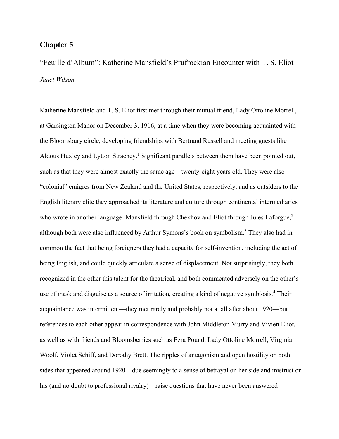## **Chapter 5**

"Feuille d'Album": Katherine Mansfield's Prufrockian Encounter with T. S. Eliot *Janet Wilson*

Katherine Mansfield and T. S. Eliot first met through their mutual friend, Lady Ottoline Morrell, at Garsington Manor on December 3, 1916, at a time when they were becoming acquainted with the Bloomsbury circle, developing friendships with Bertrand Russell and meeting guests like Aldous Huxley and Lytton Strachey.<sup>1</sup> Significant parallels between them have been pointed out, such as that they were almost exactly the same age—twenty-eight years old. They were also "colonial" emigres from New Zealand and the United States, respectively, and as outsiders to the English literary elite they approached its literature and culture through continental intermediaries who wrote in another language: Mansfield through Chekhov and Eliot through Jules Laforgue,<sup>2</sup> although both were also influenced by Arthur Symons's book on symbolism.<sup>3</sup> They also had in common the fact that being foreigners they had a capacity for self-invention, including the act of being English, and could quickly articulate a sense of displacement. Not surprisingly, they both recognized in the other this talent for the theatrical, and both commented adversely on the other's use of mask and disguise as a source of irritation, creating a kind of negative symbiosis.<sup>4</sup> Their acquaintance was intermittent—they met rarely and probably not at all after about 1920—but references to each other appear in correspondence with John Middleton Murry and Vivien Eliot, as well as with friends and Bloomsberries such as Ezra Pound, Lady Ottoline Morrell, Virginia Woolf, Violet Schiff, and Dorothy Brett. The ripples of antagonism and open hostility on both sides that appeared around 1920—due seemingly to a sense of betrayal on her side and mistrust on his (and no doubt to professional rivalry)—raise questions that have never been answered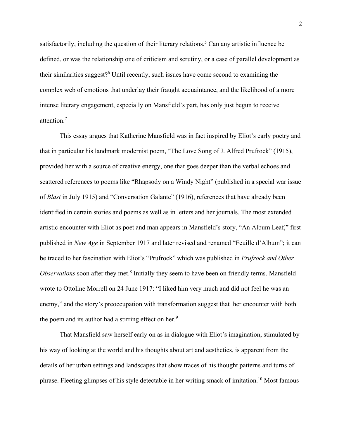satisfactorily, including the question of their literary relations.<sup>5</sup> Can any artistic influence be defined, or was the relationship one of criticism and scrutiny, or a case of parallel development as their similarities suggest? <sup>6</sup> Until recently, such issues have come second to examining the complex web of emotions that underlay their fraught acquaintance, and the likelihood of a more intense literary engagement, especially on Mansfield's part, has only just begun to receive attention.<sup>7</sup>

This essay argues that Katherine Mansfield was in fact inspired by Eliot's early poetry and that in particular his landmark modernist poem, "The Love Song of J. Alfred Prufrock" (1915), provided her with a source of creative energy, one that goes deeper than the verbal echoes and scattered references to poems like "Rhapsody on a Windy Night" (published in a special war issue of *Blast* in July 1915) and "Conversation Galante" (1916), references that have already been identified in certain stories and poems as well as in letters and her journals. The most extended artistic encounter with Eliot as poet and man appears in Mansfield's story, "An Album Leaf," first published in *New Age* in September 1917 and later revised and renamed "Feuille d'Album"; it can be traced to her fascination with Eliot's "Prufrock" which was published in *Prufrock and Other*  Observations soon after they met.<sup>8</sup> Initially they seem to have been on friendly terms. Mansfield wrote to Ottoline Morrell on 24 June 1917: "I liked him very much and did not feel he was an enemy," and the story's preoccupation with transformation suggest that her encounter with both the poem and its author had a stirring effect on her.<sup>9</sup>

That Mansfield saw herself early on as in dialogue with Eliot's imagination, stimulated by his way of looking at the world and his thoughts about art and aesthetics, is apparent from the details of her urban settings and landscapes that show traces of his thought patterns and turns of phrase. Fleeting glimpses of his style detectable in her writing smack of imitation.<sup>10</sup> Most famous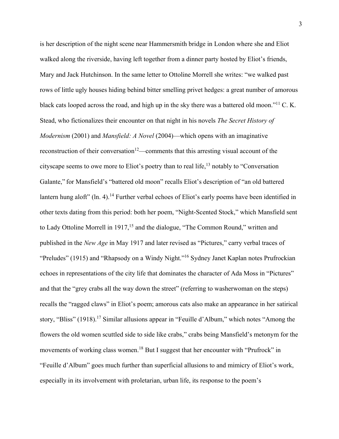is her description of the night scene near Hammersmith bridge in London where she and Eliot walked along the riverside, having left together from a dinner party hosted by Eliot's friends, Mary and Jack Hutchinson. In the same letter to Ottoline Morrell she writes: "we walked past rows of little ugly houses hiding behind bitter smelling privet hedges: a great number of amorous black cats looped across the road, and high up in the sky there was a battered old moon."<sup>11</sup> C. K. Stead, who fictionalizes their encounter on that night in his novels *The Secret History of Modernism* (2001) and *Mansfield: A Novel* (2004)—which opens with an imaginative reconstruction of their conversation<sup>12</sup>—comments that this arresting visual account of the cityscape seems to owe more to Eliot's poetry than to real life,  $^{13}$  notably to "Conversation" Galante," for Mansfield's "battered old moon" recalls Eliot's description of "an old battered lantern hung aloft" (ln. 4).<sup>14</sup> Further verbal echoes of Eliot's early poems have been identified in other texts dating from this period: both her poem, "Night-Scented Stock," which Mansfield sent to Lady Ottoline Morrell in 1917,<sup>15</sup> and the dialogue, "The Common Round," written and published in the *New Age* in May 1917 and later revised as "Pictures," carry verbal traces of "Preludes" (1915) and "Rhapsody on a Windy Night."<sup>16</sup> Sydney Janet Kaplan notes Prufrockian echoes in representations of the city life that dominates the character of Ada Moss in "Pictures" and that the "grey crabs all the way down the street" (referring to washerwoman on the steps) recalls the "ragged claws" in Eliot's poem; amorous cats also make an appearance in her satirical story, "Bliss" (1918).<sup>17</sup> Similar allusions appear in "Feuille d'Album," which notes "Among the flowers the old women scuttled side to side like crabs," crabs being Mansfield's metonym for the movements of working class women.<sup>18</sup> But I suggest that her encounter with "Prufrock" in "Feuille d'Album" goes much further than superficial allusions to and mimicry of Eliot's work, especially in its involvement with proletarian, urban life, its response to the poem's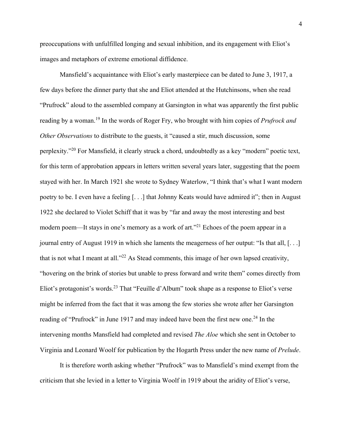preoccupations with unfulfilled longing and sexual inhibition, and its engagement with Eliot's images and metaphors of extreme emotional diffidence.

Mansfield's acquaintance with Eliot's early masterpiece can be dated to June 3, 1917, a few days before the dinner party that she and Eliot attended at the Hutchinsons, when she read "Prufrock" aloud to the assembled company at Garsington in what was apparently the first public reading by a woman.<sup>19</sup> In the words of Roger Fry, who brought with him copies of *Prufrock and Other Observations* to distribute to the guests, it "caused a stir, much discussion, some perplexity."<sup>20</sup> For Mansfield, it clearly struck a chord, undoubtedly as a key "modern" poetic text, for this term of approbation appears in letters written several years later, suggesting that the poem stayed with her. In March 1921 she wrote to Sydney Waterlow, "I think that's what I want modern poetry to be. I even have a feeling [. . .] that Johnny Keats would have admired it"; then in August 1922 she declared to Violet Schiff that it was by "far and away the most interesting and best modern poem—It stays in one's memory as a work of art."<sup>21</sup> Echoes of the poem appear in a journal entry of August 1919 in which she laments the meagerness of her output: "Is that all, [. . .] that is not what I meant at all."<sup>22</sup> As Stead comments, this image of her own lapsed creativity, "hovering on the brink of stories but unable to press forward and write them" comes directly from Eliot's protagonist's words.<sup>23</sup> That "Feuille d'Album" took shape as a response to Eliot's verse might be inferred from the fact that it was among the few stories she wrote after her Garsington reading of "Prufrock" in June 1917 and may indeed have been the first new one.<sup>24</sup> In the intervening months Mansfield had completed and revised *The Aloe* which she sent in October to Virginia and Leonard Woolf for publication by the Hogarth Press under the new name of *Prelude*.

It is therefore worth asking whether "Prufrock" was to Mansfield's mind exempt from the criticism that she levied in a letter to Virginia Woolf in 1919 about the aridity of Eliot's verse,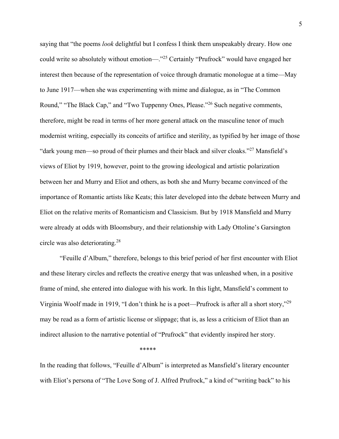saying that "the poems *look* delightful but I confess I think them unspeakably dreary. How one could write so absolutely without emotion—."<sup>25</sup> Certainly "Prufrock" would have engaged her interest then because of the representation of voice through dramatic monologue at a time—May to June 1917—when she was experimenting with mime and dialogue, as in "The Common Round," "The Black Cap," and "Two Tuppenny Ones, Please."<sup>26</sup> Such negative comments, therefore, might be read in terms of her more general attack on the masculine tenor of much modernist writing, especially its conceits of artifice and sterility, as typified by her image of those "dark young men—so proud of their plumes and their black and silver cloaks."<sup>27</sup> Mansfield's views of Eliot by 1919, however, point to the growing ideological and artistic polarization between her and Murry and Eliot and others, as both she and Murry became convinced of the importance of Romantic artists like Keats; this later developed into the debate between Murry and Eliot on the relative merits of Romanticism and Classicism. But by 1918 Mansfield and Murry were already at odds with Bloomsbury, and their relationship with Lady Ottoline's Garsington circle was also deteriorating.<sup>28</sup>

"Feuille d'Album," therefore, belongs to this brief period of her first encounter with Eliot and these literary circles and reflects the creative energy that was unleashed when, in a positive frame of mind, she entered into dialogue with his work. In this light, Mansfield's comment to Virginia Woolf made in 1919, "I don't think he is a poet—Prufrock is after all a short story,"<sup>29</sup> may be read as a form of artistic license or slippage; that is, as less a criticism of Eliot than an indirect allusion to the narrative potential of "Prufrock" that evidently inspired her story.

\*\*\*\*\*

In the reading that follows, "Feuille d'Album" is interpreted as Mansfield's literary encounter with Eliot's persona of "The Love Song of J. Alfred Prufrock," a kind of "writing back" to his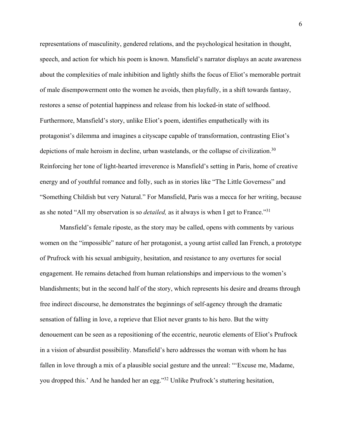representations of masculinity, gendered relations, and the psychological hesitation in thought, speech, and action for which his poem is known. Mansfield's narrator displays an acute awareness about the complexities of male inhibition and lightly shifts the focus of Eliot's memorable portrait of male disempowerment onto the women he avoids, then playfully, in a shift towards fantasy, restores a sense of potential happiness and release from his locked-in state of selfhood. Furthermore, Mansfield's story, unlike Eliot's poem, identifies empathetically with its protagonist's dilemma and imagines a cityscape capable of transformation, contrasting Eliot's depictions of male heroism in decline, urban wastelands, or the collapse of civilization.<sup>30</sup> Reinforcing her tone of light-hearted irreverence is Mansfield's setting in Paris, home of creative energy and of youthful romance and folly, such as in stories like "The Little Governess" and "Something Childish but very Natural." For Mansfield, Paris was a mecca for her writing, because as she noted "All my observation is so *detailed,* as it always is when I get to France."<sup>31</sup>

Mansfield's female riposte, as the story may be called, opens with comments by various women on the "impossible" nature of her protagonist, a young artist called Ian French, a prototype of Prufrock with his sexual ambiguity, hesitation, and resistance to any overtures for social engagement. He remains detached from human relationships and impervious to the women's blandishments; but in the second half of the story, which represents his desire and dreams through free indirect discourse, he demonstrates the beginnings of self-agency through the dramatic sensation of falling in love, a reprieve that Eliot never grants to his hero. But the witty denouement can be seen as a repositioning of the eccentric, neurotic elements of Eliot's Prufrock in a vision of absurdist possibility. Mansfield's hero addresses the woman with whom he has fallen in love through a mix of a plausible social gesture and the unreal: "'Excuse me, Madame, you dropped this.' And he handed her an egg."<sup>32</sup> Unlike Prufrock's stuttering hesitation,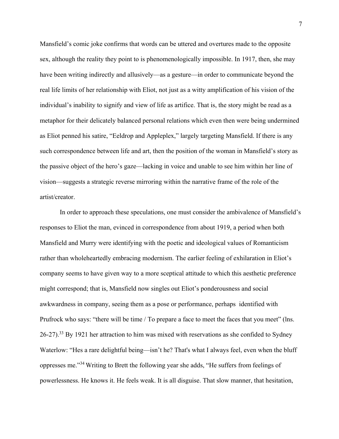Mansfield's comic joke confirms that words can be uttered and overtures made to the opposite sex, although the reality they point to is phenomenologically impossible. In 1917, then, she may have been writing indirectly and allusively—as a gesture—in order to communicate beyond the real life limits of her relationship with Eliot, not just as a witty amplification of his vision of the individual's inability to signify and view of life as artifice. That is, the story might be read as a metaphor for their delicately balanced personal relations which even then were being undermined as Eliot penned his satire, "Eeldrop and Appleplex," largely targeting Mansfield. If there is any such correspondence between life and art, then the position of the woman in Mansfield's story as the passive object of the hero's gaze—lacking in voice and unable to see him within her line of vision—suggests a strategic reverse mirroring within the narrative frame of the role of the artist/creator.

In order to approach these speculations, one must consider the ambivalence of Mansfield's responses to Eliot the man, evinced in correspondence from about 1919, a period when both Mansfield and Murry were identifying with the poetic and ideological values of Romanticism rather than wholeheartedly embracing modernism. The earlier feeling of exhilaration in Eliot's company seems to have given way to a more sceptical attitude to which this aesthetic preference might correspond; that is, Mansfield now singles out Eliot's ponderousness and social awkwardness in company, seeing them as a pose or performance, perhaps identified with Prufrock who says: "there will be time / To prepare a face to meet the faces that you meet" (lns.  $26-27$ ).<sup>33</sup> By 1921 her attraction to him was mixed with reservations as she confided to Sydney Waterlow: "Hes a rare delightful being—isn't he? That's what I always feel, even when the bluff oppresses me."<sup>34</sup> Writing to Brett the following year she adds, "He suffers from feelings of powerlessness. He knows it. He feels weak. It is all disguise. That slow manner, that hesitation,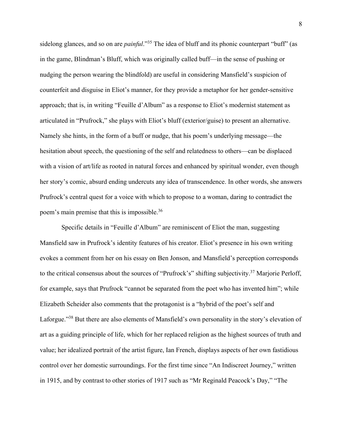sidelong glances, and so on are *painful*."<sup>35</sup> The idea of bluff and its phonic counterpart "buff" (as in the game, Blindman's Bluff, which was originally called buff—in the sense of pushing or nudging the person wearing the blindfold) are useful in considering Mansfield's suspicion of counterfeit and disguise in Eliot's manner, for they provide a metaphor for her gender-sensitive approach; that is, in writing "Feuille d'Album" as a response to Eliot's modernist statement as articulated in "Prufrock," she plays with Eliot's bluff (exterior/guise) to present an alternative. Namely she hints, in the form of a buff or nudge, that his poem's underlying message—the hesitation about speech, the questioning of the self and relatedness to others—can be displaced with a vision of art/life as rooted in natural forces and enhanced by spiritual wonder, even though her story's comic, absurd ending undercuts any idea of transcendence. In other words, she answers Prufrock's central quest for a voice with which to propose to a woman, daring to contradict the poem's main premise that this is impossible.<sup>36</sup>

Specific details in "Feuille d'Album" are reminiscent of Eliot the man, suggesting Mansfield saw in Prufrock's identity features of his creator. Eliot's presence in his own writing evokes a comment from her on his essay on Ben Jonson, and Mansfield's perception corresponds to the critical consensus about the sources of "Prufrock's" shifting subjectivity.<sup>37</sup> Marjorie Perloff, for example, says that Prufrock "cannot be separated from the poet who has invented him"; while Elizabeth Scheider also comments that the protagonist is a "hybrid of the poet's self and Laforgue."<sup>38</sup> But there are also elements of Mansfield's own personality in the story's elevation of art as a guiding principle of life, which for her replaced religion as the highest sources of truth and value; her idealized portrait of the artist figure, Ian French, displays aspects of her own fastidious control over her domestic surroundings. For the first time since "An Indiscreet Journey," written in 1915, and by contrast to other stories of 1917 such as "Mr Reginald Peacock's Day," "The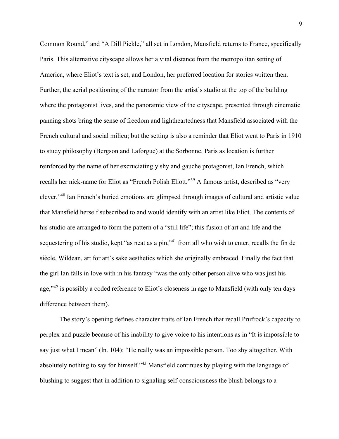Common Round," and "A Dill Pickle," all set in London, Mansfield returns to France, specifically Paris. This alternative cityscape allows her a vital distance from the metropolitan setting of America, where Eliot's text is set, and London, her preferred location for stories written then. Further, the aerial positioning of the narrator from the artist's studio at the top of the building where the protagonist lives, and the panoramic view of the cityscape, presented through cinematic panning shots bring the sense of freedom and lightheartedness that Mansfield associated with the French cultural and social milieu; but the setting is also a reminder that Eliot went to Paris in 1910 to study philosophy (Bergson and Laforgue) at the Sorbonne. Paris as location is further reinforced by the name of her excruciatingly shy and gauche protagonist, Ian French, which recalls her nick-name for Eliot as "French Polish Eliott."<sup>39</sup> A famous artist, described as "very clever,"<sup>40</sup> Ian French's buried emotions are glimpsed through images of cultural and artistic value that Mansfield herself subscribed to and would identify with an artist like Eliot. The contents of his studio are arranged to form the pattern of a "still life"; this fusion of art and life and the sequestering of his studio, kept "as neat as a pin,"<sup>41</sup> from all who wish to enter, recalls the fin de siècle, Wildean, art for art's sake aesthetics which she originally embraced. Finally the fact that the girl Ian falls in love with in his fantasy "was the only other person alive who was just his age,"<sup>42</sup> is possibly a coded reference to Eliot's closeness in age to Mansfield (with only ten days difference between them).

The story's opening defines character traits of Ian French that recall Prufrock's capacity to perplex and puzzle because of his inability to give voice to his intentions as in "It is impossible to say just what I mean" (ln. 104): "He really was an impossible person. Too shy altogether. With absolutely nothing to say for himself."<sup>43</sup> Mansfield continues by playing with the language of blushing to suggest that in addition to signaling self-consciousness the blush belongs to a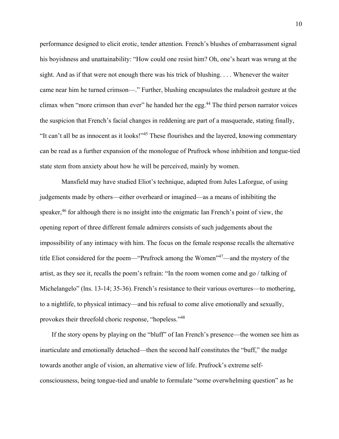performance designed to elicit erotic, tender attention. French's blushes of embarrassment signal his boyishness and unattainability: "How could one resist him? Oh, one's heart was wrung at the sight. And as if that were not enough there was his trick of blushing. . . . Whenever the waiter came near him he turned crimson—." Further, blushing encapsulates the maladroit gesture at the climax when "more crimson than ever" he handed her the egg.<sup>44</sup> The third person narrator voices the suspicion that French's facial changes in reddening are part of a masquerade, stating finally, "It can't all be as innocent as it looks!"<sup>45</sup> These flourishes and the layered, knowing commentary can be read as a further expansion of the monologue of Prufrock whose inhibition and tongue-tied state stem from anxiety about how he will be perceived, mainly by women.

Mansfield may have studied Eliot's technique, adapted from Jules Laforgue, of using judgements made by others—either overheard or imagined—as a means of inhibiting the speaker,<sup>46</sup> for although there is no insight into the enigmatic Ian French's point of view, the opening report of three different female admirers consists of such judgements about the impossibility of any intimacy with him. The focus on the female response recalls the alternative title Eliot considered for the poem—"Prufrock among the Women"<sup>47</sup>—and the mystery of the artist, as they see it, recalls the poem's refrain: "In the room women come and go / talking of Michelangelo" (lns. 13-14; 35-36). French's resistance to their various overtures—to mothering, to a nightlife, to physical intimacy—and his refusal to come alive emotionally and sexually, provokes their threefold choric response, "hopeless."<sup>48</sup>

If the story opens by playing on the "bluff" of Ian French's presence—the women see him as inarticulate and emotionally detached—then the second half constitutes the "buff," the nudge towards another angle of vision, an alternative view of life. Prufrock's extreme selfconsciousness, being tongue-tied and unable to formulate "some overwhelming question" as he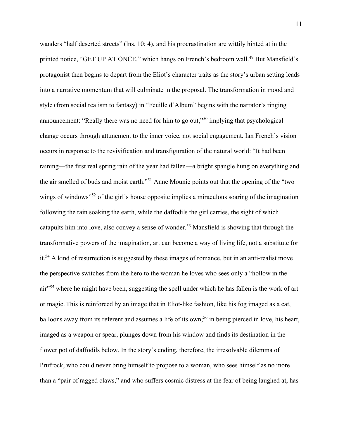wanders "half deserted streets" (lns. 10; 4), and his procrastination are wittily hinted at in the printed notice, "GET UP AT ONCE," which hangs on French's bedroom wall.<sup>49</sup> But Mansfield's protagonist then begins to depart from the Eliot's character traits as the story's urban setting leads into a narrative momentum that will culminate in the proposal. The transformation in mood and style (from social realism to fantasy) in "Feuille d'Album" begins with the narrator's ringing announcement: "Really there was no need for him to go out,"<sup>50</sup> implying that psychological change occurs through attunement to the inner voice, not social engagement. Ian French's vision occurs in response to the revivification and transfiguration of the natural world: "It had been raining—the first real spring rain of the year had fallen—a bright spangle hung on everything and the air smelled of buds and moist earth." <sup>51</sup> Anne Mounic points out that the opening of the "two wings of windows<sup>"52</sup> of the girl's house opposite implies a miraculous soaring of the imagination following the rain soaking the earth, while the daffodils the girl carries, the sight of which catapults him into love, also convey a sense of wonder.<sup>53</sup> Mansfield is showing that through the transformative powers of the imagination, art can become a way of living life, not a substitute for it.<sup>54</sup> A kind of resurrection is suggested by these images of romance, but in an anti-realist move the perspective switches from the hero to the woman he loves who sees only a "hollow in the air"<sup>55</sup> where he might have been, suggesting the spell under which he has fallen is the work of art or magic. This is reinforced by an image that in Eliot-like fashion, like his fog imaged as a cat, balloons away from its referent and assumes a life of its own;<sup>56</sup> in being pierced in love, his heart, imaged as a weapon or spear, plunges down from his window and finds its destination in the flower pot of daffodils below. In the story's ending, therefore, the irresolvable dilemma of Prufrock, who could never bring himself to propose to a woman, who sees himself as no more than a "pair of ragged claws," and who suffers cosmic distress at the fear of being laughed at, has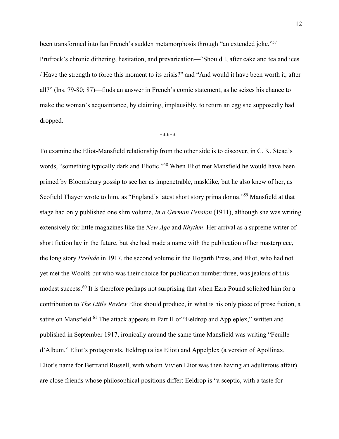been transformed into Ian French's sudden metamorphosis through "an extended joke."<sup>57</sup> Prufrock's chronic dithering, hesitation, and prevarication—"Should I, after cake and tea and ices / Have the strength to force this moment to its crisis?" and "And would it have been worth it, after all?" (lns. 79-80; 87)—finds an answer in French's comic statement, as he seizes his chance to make the woman's acquaintance, by claiming, implausibly, to return an egg she supposedly had dropped.

## \*\*\*\*\*

To examine the Eliot-Mansfield relationship from the other side is to discover, in C. K. Stead's words, "something typically dark and Eliotic."<sup>58</sup> When Eliot met Mansfield he would have been primed by Bloomsbury gossip to see her as impenetrable, masklike, but he also knew of her, as Scofield Thayer wrote to him, as "England's latest short story prima donna."<sup>59</sup> Mansfield at that stage had only published one slim volume, *In a German Pension* (1911), although she was writing extensively for little magazines like the *New Age* and *Rhythm*. Her arrival as a supreme writer of short fiction lay in the future, but she had made a name with the publication of her masterpiece, the long story *Prelude* in 1917, the second volume in the Hogarth Press, and Eliot, who had not yet met the Woolfs but who was their choice for publication number three, was jealous of this modest success.<sup>60</sup> It is therefore perhaps not surprising that when Ezra Pound solicited him for a contribution to *The Little Review* Eliot should produce, in what is his only piece of prose fiction, a satire on Mansfield.<sup>61</sup> The attack appears in Part II of "Eeldrop and Appleplex," written and published in September 1917, ironically around the same time Mansfield was writing "Feuille d'Album." Eliot's protagonists, Eeldrop (alias Eliot) and Appelplex (a version of Apollinax, Eliot's name for Bertrand Russell, with whom Vivien Eliot was then having an adulterous affair) are close friends whose philosophical positions differ: Eeldrop is "a sceptic, with a taste for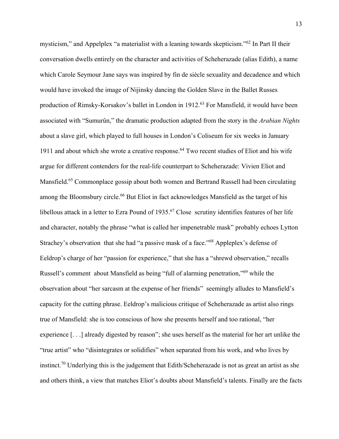mysticism," and Appelplex "a materialist with a leaning towards skepticism."<sup>62</sup> In Part II their conversation dwells entirely on the character and activities of Scheherazade (alias Edith), a name which Carole Seymour Jane says was inspired by fin de siècle sexuality and decadence and which would have invoked the image of Nijinsky dancing the Golden Slave in the Ballet Russes production of Rimsky-Korsakov's ballet in London in 1912.<sup>63</sup> For Mansfield, it would have been associated with "Sumurûn," the dramatic production adapted from the story in the *Arabian Nights* about a slave girl, which played to full houses in London's Coliseum for six weeks in January 1911 and about which she wrote a creative response. <sup>64</sup> Two recent studies of Eliot and his wife argue for different contenders for the real-life counterpart to Scheherazade: Vivien Eliot and Mansfield.<sup>65</sup> Commonplace gossip about both women and Bertrand Russell had been circulating among the Bloomsbury circle.<sup>66</sup> But Eliot in fact acknowledges Mansfield as the target of his libellous attack in a letter to Ezra Pound of 1935.<sup>67</sup> Close scrutiny identifies features of her life and character, notably the phrase "what is called her impenetrable mask" probably echoes Lytton Strachey's observation that she had "a passive mask of a face."<sup>68</sup> Appleplex's defense of Eeldrop's charge of her "passion for experience," that she has a "shrewd observation," recalls Russell's comment about Mansfield as being "full of alarming penetration,"<sup>69</sup> while the observation about "her sarcasm at the expense of her friends" seemingly alludes to Mansfield's capacity for the cutting phrase. Eeldrop's malicious critique of Scheherazade as artist also rings true of Mansfield: she is too conscious of how she presents herself and too rational, "her experience [. . .] already digested by reason"; she uses herself as the material for her art unlike the "true artist" who "disintegrates or solidifies" when separated from his work, and who lives by instinct.<sup>70</sup> Underlying this is the judgement that Edith/Scheherazade is not as great an artist as she and others think, a view that matches Eliot's doubts about Mansfield's talents. Finally are the facts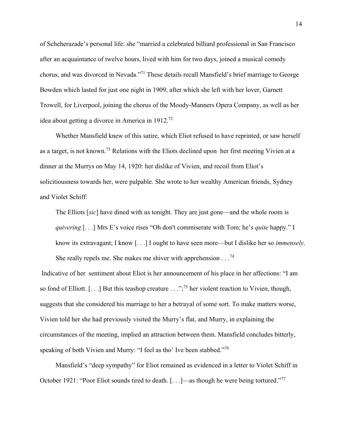of Scheherazade's personal life: she "married a celebrated billiard professional in San Francisco after an acquaintance of twelve hours, lived with him for two days, joined a musical comedy chorus, and was divorced in Nevada."<sup>71</sup> These details recall Mansfield's brief marriage to George Bowden which lasted for just one night in 1909, after which she left with her lover, Garnett Trowell, for Liverpool, joining the chorus of the Moody-Manners Opera Company, as well as her idea about getting a divorce in America in 1912.<sup>72</sup>

Whether Mansfield knew of this satire, which Eliot refused to have reprinted, or saw herself as a target, is not known.<sup>73</sup> Relations with the Eliots declined upon her first meeting Vivien at a dinner at the Murrys on May 14, 1920: her dislike of Vivien, and recoil from Eliot's solicitiousness towards her, were palpable. She wrote to her wealthy American friends, Sydney and Violet Schiff:

The Elliots [*sic*] have dined with us tonight. They are just gone—and the whole room is *quivering* [. . .] Mrs E's voice rises "Oh don't commiserate with Tom; he's *quite* happy." I know its extravagant; I know [. . .] I ought to have seen more—but I dislike her so *immensely*. She really repels me. She makes me shiver with apprehension  $\ldots$ <sup>74</sup>

Indicative of her sentiment about Eliot is her announcement of his place in her affections: "I am so fond of Elliott.  $[\dots]$  But this teashop creature  $\ldots$ ";<sup>75</sup> her violent reaction to Vivien, though, suggests that she considered his marriage to her a betrayal of some sort. To make matters worse, Vivien told her she had previously visited the Murry's flat, and Murry, in explaining the circumstances of the meeting, implied an attraction between them. Mansfield concludes bitterly, speaking of both Vivien and Murry: "I feel as tho' Ive been stabbed."<sup>76</sup>

Mansfield's "deep sympathy" for Eliot remained as evidenced in a letter to Violet Schiff in October 1921: "Poor Eliot sounds tired to death. [...]—as though he were being tortured."<sup>77</sup>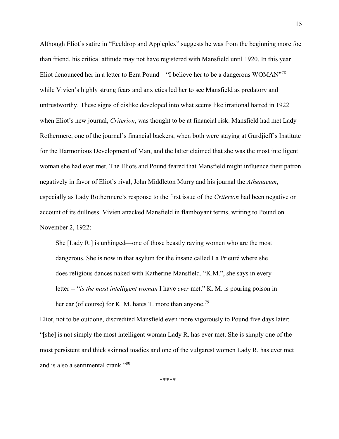Although Eliot's satire in "Eeeldrop and Appleplex" suggests he was from the beginning more foe than friend, his critical attitude may not have registered with Mansfield until 1920. In this year Eliot denounced her in a letter to Ezra Pound—"I believe her to be a dangerous WOMAN"<sup>78</sup> while Vivien's highly strung fears and anxieties led her to see Mansfield as predatory and untrustworthy. These signs of dislike developed into what seems like irrational hatred in 1922 when Eliot's new journal, *Criterion*, was thought to be at financial risk. Mansfield had met Lady Rothermere, one of the journal's financial backers, when both were staying at Gurdjieff's Institute for the Harmonious Development of Man, and the latter claimed that she was the most intelligent woman she had ever met. The Eliots and Pound feared that Mansfield might influence their patron negatively in favor of Eliot's rival, John Middleton Murry and his journal the *Athenaeum*, especially as Lady Rothermere's response to the first issue of the *Criterion* had been negative on account of its dullness. Vivien attacked Mansfield in flamboyant terms, writing to Pound on November 2, 1922:

She [Lady R.] is unhinged—one of those beastly raving women who are the most dangerous. She is now in that asylum for the insane called La Prieuré where she does religious dances naked with Katherine Mansfield. "K.M.", she says in every letter -- "*is the most intelligent woman* I have *ever* met." K. M. is pouring poison in her ear (of course) for K. M. hates T. more than anyone.<sup>79</sup>

Eliot, not to be outdone, discredited Mansfield even more vigorously to Pound five days later: "[she] is not simply the most intelligent woman Lady R. has ever met. She is simply one of the most persistent and thick skinned toadies and one of the vulgarest women Lady R. has ever met and is also a sentimental crank."<sup>80</sup>

\*\*\*\*\*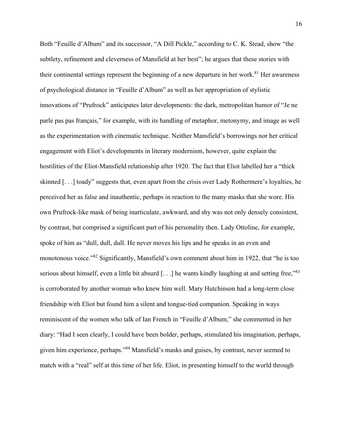Both "Feuille d'Album" and its successor, "A Dill Pickle," according to C. K. Stead, show "the subtlety, refinement and cleverness of Mansfield at her best"; he argues that these stories with their continental settings represent the beginning of a new departure in her work.<sup>81</sup> Her awareness of psychological distance in "Feuille d'Album" as well as her appropriation of stylistic innovations of "Prufrock" anticipates later developments: the dark, metropolitan humor of "Je ne parle pas pas français," for example, with its handling of metaphor, metonymy, and image as well as the experimentation with cinematic technique. Neither Mansfield's borrowings nor her critical engagement with Eliot's developments in literary modernism, however, quite explain the hostilities of the Eliot-Mansfield relationship after 1920. The fact that Eliot labelled her a "thick skinned [. . .] toady" suggests that, even apart from the crisis over Lady Rothermere's loyalties, he perceived her as false and inauthentic, perhaps in reaction to the many masks that she wore. His own Prufrock-like mask of being inarticulate, awkward, and shy was not only densely consistent, by contrast, but comprised a significant part of his personality then. Lady Ottoline, for example, spoke of him as "dull, dull, dull. He never moves his lips and he speaks in an even and monotonous voice."<sup>82</sup> Significantly, Mansfield's own comment about him in 1922, that "he is too serious about himself, even a little bit absurd [...] he wants kindly laughing at and setting free,"83 is corroborated by another woman who knew him well. Mary Hutchinson had a long-term close friendship with Eliot but found him a silent and tongue-tied companion. Speaking in ways reminiscent of the women who talk of Ian French in "Feuille d'Album," she commented in her diary: "Had I seen clearly, I could have been bolder, perhaps, stimulated his imagination, perhaps, given him experience, perhaps."<sup>84</sup> Mansfield's masks and guises, by contrast, never seemed to match with a "real" self at this time of her life. Eliot, in presenting himself to the world through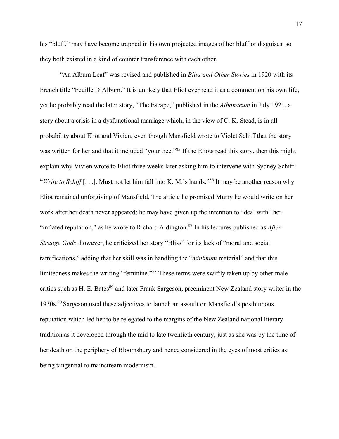his "bluff," may have become trapped in his own projected images of her bluff or disguises, so they both existed in a kind of counter transference with each other.

"An Album Leaf" was revised and published in *Bliss and Other Stories* in 1920 with its French title "Feuille D'Album." It is unlikely that Eliot ever read it as a comment on his own life, yet he probably read the later story, "The Escape," published in the *Athanaeum* in July 1921, a story about a crisis in a dysfunctional marriage which, in the view of C. K. Stead, is in all probability about Eliot and Vivien, even though Mansfield wrote to Violet Schiff that the story was written for her and that it included "your tree."<sup>85</sup> If the Eliots read this story, then this might explain why Vivien wrote to Eliot three weeks later asking him to intervene with Sydney Schiff: "*Write to Schiff* [...]. Must not let him fall into K. M.'s hands."<sup>86</sup> It may be another reason why Eliot remained unforgiving of Mansfield. The article he promised Murry he would write on her work after her death never appeared; he may have given up the intention to "deal with" her "inflated reputation," as he wrote to Richard Aldington.<sup>87</sup> In his lectures published as *After Strange Gods*, however, he criticized her story "Bliss" for its lack of "moral and social ramifications," adding that her skill was in handling the "*minimum* material" and that this limitedness makes the writing "feminine."<sup>88</sup> These terms were swiftly taken up by other male critics such as H. E. Bates<sup>89</sup> and later Frank Sargeson, preeminent New Zealand story writer in the 1930s.<sup>90</sup> Sargeson used these adjectives to launch an assault on Mansfield's posthumous reputation which led her to be relegated to the margins of the New Zealand national literary tradition as it developed through the mid to late twentieth century, just as she was by the time of her death on the periphery of Bloomsbury and hence considered in the eyes of most critics as being tangential to mainstream modernism.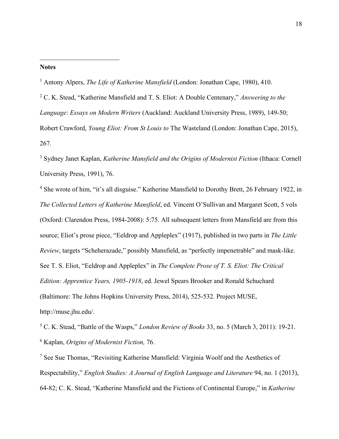## **Notes**

 $\overline{a}$ 

<sup>1</sup> Antony Alpers, *The Life of Katherine Mansfield* (London: Jonathan Cape, 1980), 410.

<sup>2</sup> C. K. Stead, "Katherine Mansfield and T. S. Eliot: A Double Centenary," *Answering to the Language*: *Essays on Modern Writers* (Auckland: Auckland University Press, 1989), 149-50; Robert Crawford, *Young Eliot: From St Louis to* The Wasteland (London: Jonathan Cape, 2015), 267.

<sup>3</sup> Sydney Janet Kaplan, *Katherine Mansfield and the Origins of Modernist Fiction* (Ithaca: Cornell University Press, 1991), 76.

<sup>4</sup> She wrote of him, "it's all disguise." Katherine Mansfield to Dorothy Brett, 26 February 1922, in *The Collected Letters of Katherine Mansfield*, ed. Vincent O'Sullivan and Margaret Scott, 5 vols (Oxford: Clarendon Press, 1984-2008): 5:75. All subsequent letters from Mansfield are from this source; Eliot's prose piece, "Eeldrop and Appleplex" (1917), published in two parts in *The Little Review*, targets "Scheherazade," possibly Mansfield, as "perfectly impenetrable" and mask-like. See T. S. Eliot, "Eeldrop and Appleplex" in *The Complete Prose of T. S. Eliot: The Critical Edition: Apprentice Years, 1905-1918*, ed. Jewel Spears Brooker and Ronald Schuchard (Baltimore: The Johns Hopkins University Press, 2014), 525-532. Project MUSE, http://muse.jhu.edu/.

<sup>5</sup> C. K. Stead, "Battle of the Wasps," *London Review of Books* 33, no. 5 (March 3, 2011): 19-21. <sup>6</sup> Kaplan, *Origins of Modernist Fiction,* 76.

 $<sup>7</sup>$  See Sue Thomas, "Revisiting Katherine Mansfield: Virginia Woolf and the Aesthetics of</sup> Respectability," *English Studies: A Journal of English Language and Literature* 94, no. 1 (2013), 64-82; C. K. Stead, "Katherine Mansfield and the Fictions of Continental Europe," in *Katherine*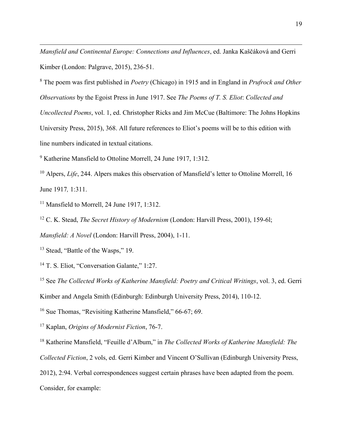*Mansfield and Continental Europe: Connections and Influences*, ed. Janka Kaščáková and Gerri Kimber (London: Palgrave, 2015), 236-51.

<sup>8</sup> The poem was first published in *Poetry* (Chicago) in 1915 and in England in *Prufrock and Other Observations* by the Egoist Press in June 1917. See *The Poems of T. S. Eliot*: *Collected and Uncollected Poems*, vol. 1, ed. Christopher Ricks and Jim McCue (Baltimore: The Johns Hopkins University Press, 2015), 368. All future references to Eliot's poems will be to this edition with line numbers indicated in textual citations.

<sup>9</sup> Katherine Mansfield to Ottoline Morrell, 24 June 1917, 1:312.

<sup>10</sup> Alpers, *Life*, 244. Alpers makes this observation of Mansfield's letter to Ottoline Morrell, 16 June 1917*,* 1:311.

<sup>11</sup> Mansfield to Morrell, 24 June 1917, 1:312.

<sup>12</sup> C. K. Stead, *The Secret History of Modernism* (London: Harvill Press, 2001), 159-6l;

*Mansfield: A Novel* (London: Harvill Press, 2004), 1-11.

<sup>13</sup> Stead, "Battle of the Wasps," 19.

 $\overline{a}$ 

<sup>14</sup> T. S. Eliot, "Conversation Galante," 1:27.

<sup>15</sup> See *The Collected Works of Katherine Mansfield: Poetry and Critical Writings*, vol. 3, ed. Gerri Kimber and Angela Smith (Edinburgh: Edinburgh University Press, 2014), 110-12.

<sup>16</sup> Sue Thomas, "Revisiting Katherine Mansfield," 66-67; 69.

<sup>17</sup> Kaplan, *Origins of Modernist Fiction*, 76-7.

<sup>18</sup> Katherine Mansfield, "Feuille d'Album," in *The Collected Works of Katherine Mansfield: The* 

*Collected Fiction*, 2 vols, ed. Gerri Kimber and Vincent O'Sullivan (Edinburgh University Press,

2012), 2:94. Verbal correspondences suggest certain phrases have been adapted from the poem.

Consider, for example: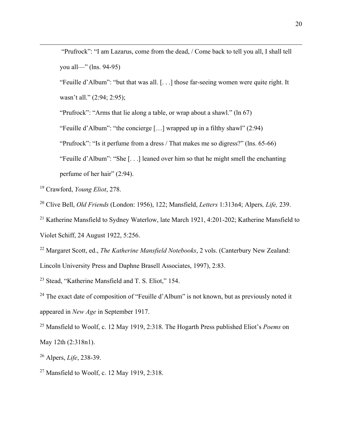"Prufrock": "I am Lazarus, come from the dead, / Come back to tell you all, I shall tell you all—" (lns. 94-95)

"Feuille d'Album": "but that was all. [. . .] those far-seeing women were quite right. It wasn't all." (2:94; 2:95);

"Prufrock": "Arms that lie along a table, or wrap about a shawl." (ln 67)

"Feuille d'Album": "the concierge […] wrapped up in a filthy shawl" (2:94)

"Prufrock": "Is it perfume from a dress / That makes me so digress?" (lns. 65-66)

"Feuille d'Album": "She [. . .] leaned over him so that he might smell the enchanting perfume of her hair" (2:94).

<sup>19</sup> Crawford, *Young Eliot*, 278.

 $\overline{a}$ 

<sup>20</sup> Clive Bell, *Old Friends* (London: 1956), 122; Mansfield, *Letters* 1:313n4; Alpers*, Life,* 239.

<sup>21</sup> Katherine Mansfield to Sydney Waterlow, late March 1921, 4:201-202; Katherine Mansfield to Violet Schiff, 24 August 1922, 5:256.

<sup>22</sup> Margaret Scott, ed., *The Katherine Mansfield Notebooks*, 2 vols. (Canterbury New Zealand: Lincoln University Press and Daphne Brasell Associates, 1997), 2:83.

<sup>23</sup> Stead, "Katherine Mansfield and T. S. Eliot," 154.

<sup>24</sup> The exact date of composition of "Feuille d'Album" is not known, but as previously noted it appeared in *New Age* in September 1917.

<sup>25</sup> Mansfield to Woolf, c. 12 May 1919, 2:318. The Hogarth Press published Eliot's *Poems* on May 12th (2:318n1).

<sup>26</sup> Alpers, *Life*, 238-39.

<sup>27</sup> Mansfield to Woolf, c. 12 May 1919, 2:318.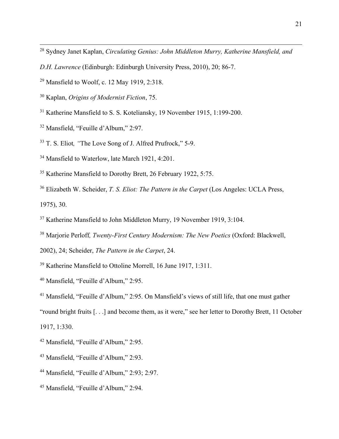- Sydney Janet Kaplan, *Circulating Genius: John Middleton Murry, Katherine Mansfield, and*
- *D.H. Lawrence* (Edinburgh: Edinburgh University Press, 2010), 20; 86-7.
- Mansfield to Woolf, c. 12 May 1919, 2:318.
- Kaplan, *Origins of Modernist Fiction*, 75.
- Katherine Mansfield to S. S. Koteliansky, 19 November 1915, 1:199-200.
- Mansfield, "Feuille d'Album," 2:97.

 $\overline{a}$ 

- T. S. Eliot*, "*The Love Song of J. Alfred Prufrock," 5-9.
- Mansfield to Waterlow, late March 1921, 4:201.
- Katherine Mansfield to Dorothy Brett, 26 February 1922, 5:75.
- Elizabeth W. Scheider, *T. S. Eliot: The Pattern in the Carpet* (Los Angeles: UCLA Press, 1975), 30.
- Katherine Mansfield to John Middleton Murry, 19 November 1919, 3:104.
- Marjorie Perloff*, Twenty-First Century Modernism: The New Poetics* (Oxford: Blackwell,
- 2002), 24; Scheider, *The Pattern in the Carpet*, 24.
- Katherine Mansfield to Ottoline Morrell, 16 June 1917, 1:311.
- Mansfield, "Feuille d'Album," 2:95.
- Mansfield, "Feuille d'Album," 2:95. On Mansfield's views of still life, that one must gather
- "round bright fruits [. . .] and become them, as it were," see her letter to Dorothy Brett, 11 October

1917, 1:330.

- Mansfield, "Feuille d'Album," 2:95.
- Mansfield, "Feuille d'Album," 2:93.
- Mansfield, "Feuille d'Album," 2:93; 2:97.
- Mansfield, "Feuille d'Album," 2:94.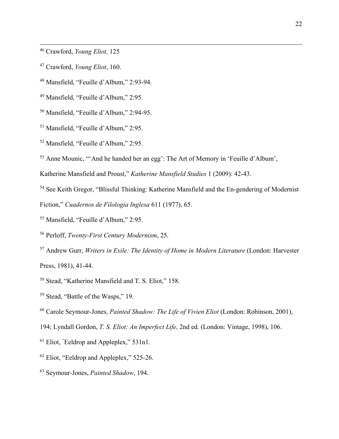Crawford, *Young Eliot,* 125

 $\overline{a}$ 

- Crawford, *Young Eliot*, 160.
- Mansfield, "Feuille d'Album," 2:93-94.
- Mansfield, "Feuille d'Album," 2:95.
- Mansfield, "Feuille d'Album," 2:94-95.
- Mansfield, "Feuille d'Album," 2:95.
- Mansfield, "Feuille d'Album," 2:95.
- Anne Mounic, "'And he handed her an egg': The Art of Memory in 'Feuille d'Album',

Katherine Mansfield and Proust," *Katherine Mansfield Studies* 1 (2009): 42-43.

See Keith Gregor, "Blissful Thinking: Katherine Mansfield and the En-gendering of Modernist

Fiction," *Cuadernos de Filologia Inglesa* 611 (1977), 65.

- Mansfield, "Feuille d'Album," 2:95.
- Perloff, *Twenty-First Century Modernism*, 25.
- Andrew Gurr, *Writers in Exile: The Identity of Home in Modern Literature* (London: Harvester Press, 1981), 41-44.
- Stead, "Katherine Mansfield and T. S. Eliot," 158.
- Stead, "Battle of the Wasps," 19.
- Carole Seymour-Jones, *Painted Shadow: The Life of Vivien Eliot* (London: Robinson, 2001),
- 194; Lyndall Gordon, *T. S. Eliot: An Imperfect Life,* 2nd ed. (London: Vintage, 1998), 106.
- Eliot, "Eeldrop and Appleplex," 531n1.
- <sup>62</sup> Eliot, "Eeldrop and Appleplex," 525-26.
- Seymour-Jones, *Painted Shadow*, 194.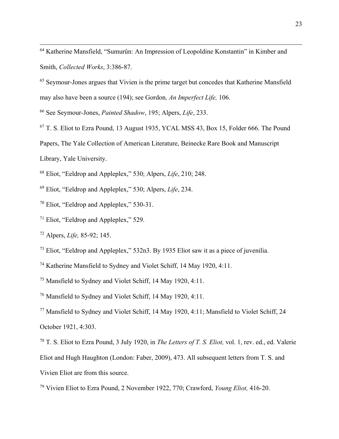<sup>64</sup> Katherine Mansfield, "Sumurûn: An Impression of Leopoldine Konstantin" in Kimber and Smith, *Collected Works*, 3:386-87.

<sup>65</sup> Seymour-Jones argues that Vivien is the prime target but concedes that Katherine Mansfield may also have been a source (194); see Gordon*, An Imperfect Life,* 106.

<sup>66</sup> See Seymour-Jones, *Painted Shadow*, 195; Alpers, *Life*, 233.

<sup>67</sup> T. S. Eliot to Ezra Pound, 13 August 1935, YCAL MSS 43, Box 15, Folder 666. The Pound

Papers, The Yale Collection of American Literature, Beinecke Rare Book and Manuscript

Library, Yale University.

 $\overline{a}$ 

<sup>68</sup> Eliot, "Eeldrop and Appleplex," 530; Alpers, *Life*, 210; 248.

<sup>69</sup> Eliot, "Eeldrop and Appleplex," 530; Alpers, *Life*, 234.

<sup>70</sup> Eliot, "Eeldrop and Appleplex," 530-31.

<sup>71</sup> Eliot, "Eeldrop and Appleplex," 529.

<sup>72</sup> Alpers, *Life,* 85-92; 145.

<sup>73</sup> Eliot, "Eeldrop and Appleplex," 532n3. By 1935 Eliot saw it as a piece of juvenilia.

<sup>74</sup> Katherine Mansfield to Sydney and Violet Schiff, 14 May 1920, 4:11.

<sup>75</sup> Mansfield to Sydney and Violet Schiff, 14 May 1920, 4:11.

<sup>76</sup> Mansfield to Sydney and Violet Schiff, 14 May 1920, 4:11.

<sup>77</sup> Mansfield to Sydney and Violet Schiff, 14 May 1920, 4:11; Mansfield to Violet Schiff, 24 October 1921, 4:303.

<sup>78</sup> T. S. Eliot to Ezra Pound, 3 July 1920, in *The Letters of T. S. Eliot,* vol. 1, rev. ed., ed. Valerie Eliot and Hugh Haughton (London: Faber, 2009), 473. All subsequent letters from T. S. and Vivien Eliot are from this source.

<sup>79</sup> Vivien Eliot to Ezra Pound, 2 November 1922, 770; Crawford, *Young Eliot,* 416-20.